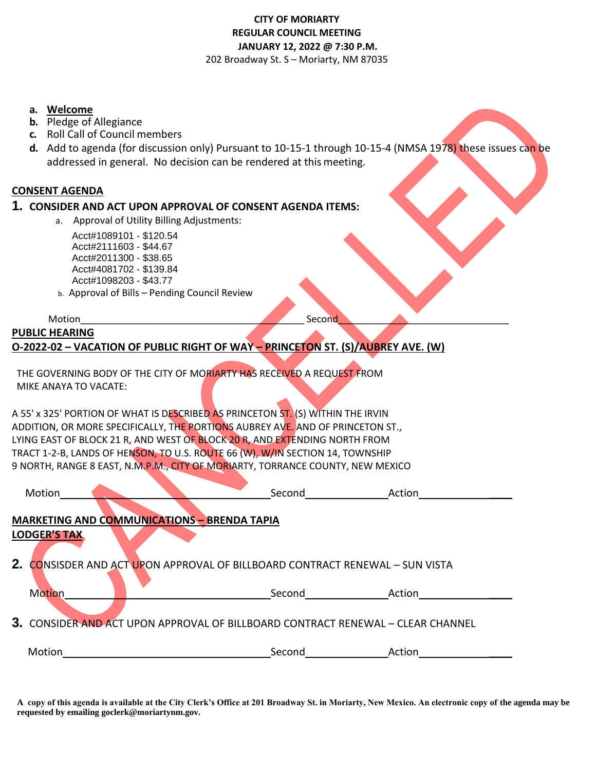## **CITY OF MORIARTY REGULAR COUNCIL MEETING JANUARY 12, 2022 @ 7:30 P.M.**  202 Broadway St. S – Moriarty, NM 87035

**a. Welcome**

- **b.** Pledge of Allegiance
- **c.** Roll Call of Council members
- **d.** Add to agenda (for discussion only) Pursuant to 10-15-1 through 10-15-4 (NMSA 1978) these issues can be addressed in general. No decision can be rendered at this meeting.

## **CONSENT AGENDA**

## **1. CONSIDER AND ACT UPON APPROVAL OF CONSENT AGENDA ITEMS:**

a. Approval of Utility Billing Adjustments:

 Acct#1089101 - \$120.54 Acct#2111603 - \$44.67 Acct#2011300 - \$38.65 Acct#4081702 - \$139.84 Acct#1098203 - \$43.77

b. Approval of Bills – Pending Council Review

| Motion                                                                          | Second |  |
|---------------------------------------------------------------------------------|--------|--|
| <b>PUBLIC HEARING</b>                                                           |        |  |
| O-2022-02 - VACATION OF PUBLIC RIGHT OF WAY - PRINCETON ST. (S)/AUBREY AVE. (W) |        |  |

THE GOVERNING BODY OF THE CITY OF MORIARTY HAS RECEIVED A REQUEST FROM MIKE ANAYA TO VACATE:

A 55' x 325' PORTION OF WHAT IS DESCRIBED AS PRINCETON ST. (S) WITHIN THE IRVIN ADDITION, OR MORE SPECIFICALLY, THE PORTIONS AUBREY AVE. AND OF PRINCETON ST., LYING EAST OF BLOCK 21 R, AND WEST OF BLOCK 20 R, AND EXTENDING NORTH FROM TRACT 1-2-B, LANDS OF HENSON, TO U.S. ROUTE 66 (W), W/IN SECTION 14, TOWNSHIP 9 NORTH, RANGE 8 EAST, N.M.P.M., CITY OF MORIARTY, TORRANCE COUNTY, NEW MEXICO

| Motion                                                                          | Second | Action |  |  |
|---------------------------------------------------------------------------------|--------|--------|--|--|
| <b>MARKETING AND COMMUNICATIONS - BRENDA TAPIA</b>                              |        |        |  |  |
| <b>LODGER'S TAX</b>                                                             |        |        |  |  |
| 2. CONSISDER AND ACT UPON APPROVAL OF BILLBOARD CONTRACT RENEWAL - SUN VISTA    |        |        |  |  |
| Motion                                                                          | Second | Action |  |  |
| 3. CONSIDER AND ACT UPON APPROVAL OF BILLBOARD CONTRACT RENEWAL - CLEAR CHANNEL |        |        |  |  |
| Motion                                                                          | Second | Action |  |  |

**A copy of this agenda is available at the City Clerk's Office at 201 Broadway St. in Moriarty, New Mexico. An electronic copy of the agenda may be requested by emailing goclerk@moriartynm.gov.**